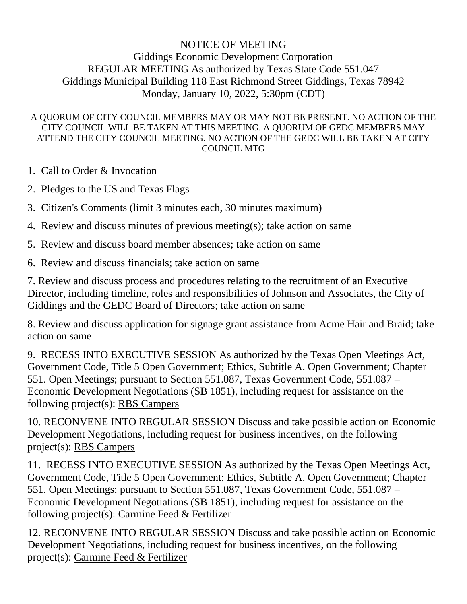## NOTICE OF MEETING Giddings Economic Development Corporation REGULAR MEETING As authorized by Texas State Code 551.047 Giddings Municipal Building 118 East Richmond Street Giddings, Texas 78942 Monday, January 10, 2022, 5:30pm (CDT)

## A QUORUM OF CITY COUNCIL MEMBERS MAY OR MAY NOT BE PRESENT. NO ACTION OF THE CITY COUNCIL WILL BE TAKEN AT THIS MEETING. A QUORUM OF GEDC MEMBERS MAY ATTEND THE CITY COUNCIL MEETING. NO ACTION OF THE GEDC WILL BE TAKEN AT CITY COUNCIL MTG

1. Call to Order & Invocation

2. Pledges to the US and Texas Flags

3. Citizen's Comments (limit 3 minutes each, 30 minutes maximum)

4. Review and discuss minutes of previous meeting(s); take action on same

5. Review and discuss board member absences; take action on same

6. Review and discuss financials; take action on same

7. Review and discuss process and procedures relating to the recruitment of an Executive Director, including timeline, roles and responsibilities of Johnson and Associates, the City of Giddings and the GEDC Board of Directors; take action on same

8. Review and discuss application for signage grant assistance from Acme Hair and Braid; take action on same

9. RECESS INTO EXECUTIVE SESSION As authorized by the Texas Open Meetings Act, Government Code, Title 5 Open Government; Ethics, Subtitle A. Open Government; Chapter 551. Open Meetings; pursuant to Section 551.087, Texas Government Code, 551.087 – Economic Development Negotiations (SB 1851), including request for assistance on the following project(s): RBS Campers

10. RECONVENE INTO REGULAR SESSION Discuss and take possible action on Economic Development Negotiations, including request for business incentives, on the following project(s): RBS Campers

11. RECESS INTO EXECUTIVE SESSION As authorized by the Texas Open Meetings Act, Government Code, Title 5 Open Government; Ethics, Subtitle A. Open Government; Chapter 551. Open Meetings; pursuant to Section 551.087, Texas Government Code, 551.087 – Economic Development Negotiations (SB 1851), including request for assistance on the following project(s): Carmine Feed & Fertilizer

12. RECONVENE INTO REGULAR SESSION Discuss and take possible action on Economic Development Negotiations, including request for business incentives, on the following project(s): Carmine Feed & Fertilizer